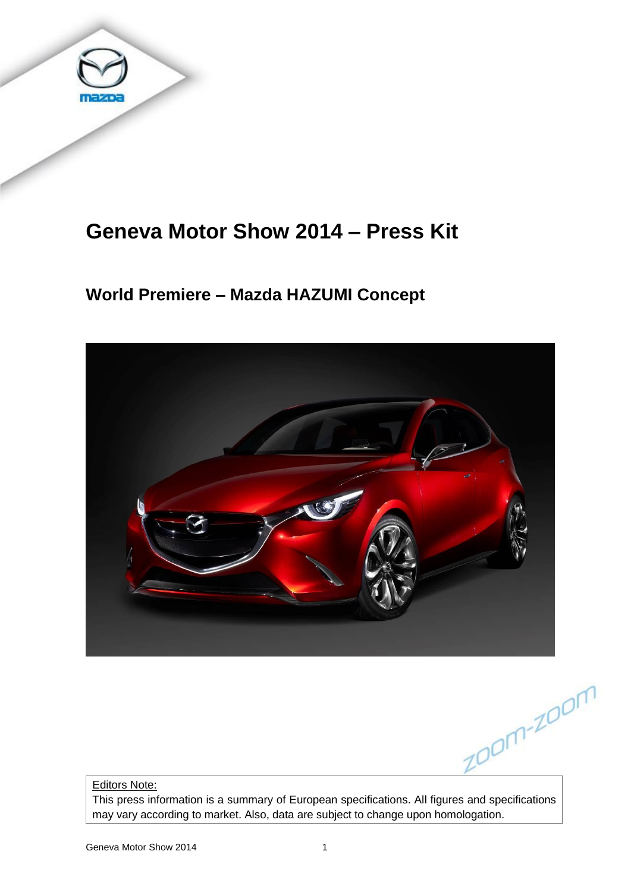

# **Geneva Motor Show 2014 – Press Kit**

# **World Premiere – Mazda HAZUMI Concept**



zoom-zoom

Editors Note:

This press information is a summary of European specifications. All figures and specifications may vary according to market. Also, data are subject to change upon homologation.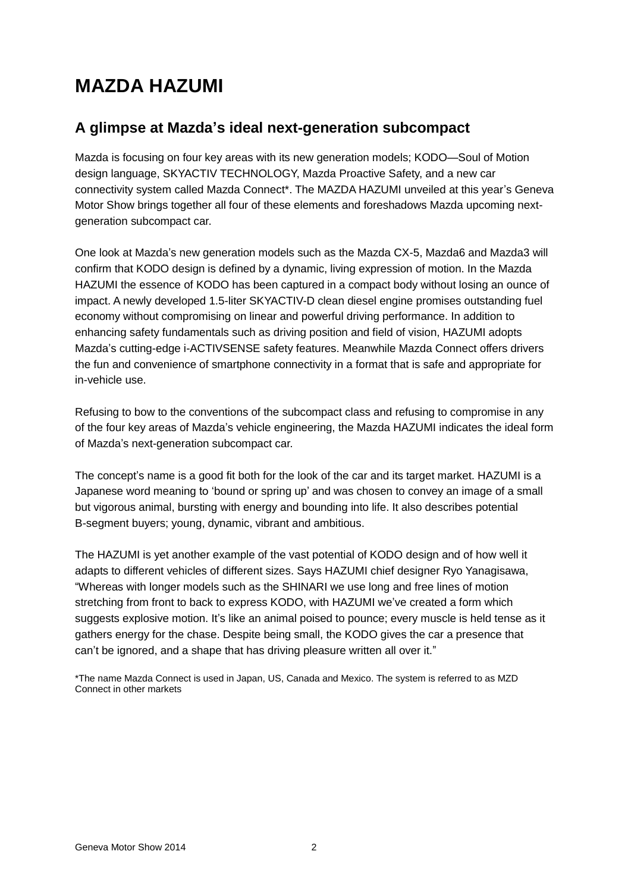# **MAZDA HAZUMI**

## **A glimpse at Mazda's ideal next-generation subcompact**

Mazda is focusing on four key areas with its new generation models; KODO—Soul of Motion design language, SKYACTIV TECHNOLOGY, Mazda Proactive Safety, and a new car connectivity system called Mazda Connect\*. The MAZDA HAZUMI unveiled at this year's Geneva Motor Show brings together all four of these elements and foreshadows Mazda upcoming nextgeneration subcompact car.

One look at Mazda's new generation models such as the Mazda CX-5, Mazda6 and Mazda3 will confirm that KODO design is defined by a dynamic, living expression of motion. In the Mazda HAZUMI the essence of KODO has been captured in a compact body without losing an ounce of impact. A newly developed 1.5-liter SKYACTIV-D clean diesel engine promises outstanding fuel economy without compromising on linear and powerful driving performance. In addition to enhancing safety fundamentals such as driving position and field of vision, HAZUMI adopts Mazda's cutting-edge i-ACTIVSENSE safety features. Meanwhile Mazda Connect offers drivers the fun and convenience of smartphone connectivity in a format that is safe and appropriate for in-vehicle use.

Refusing to bow to the conventions of the subcompact class and refusing to compromise in any of the four key areas of Mazda's vehicle engineering, the Mazda HAZUMI indicates the ideal form of Mazda's next-generation subcompact car.

The concept's name is a good fit both for the look of the car and its target market. HAZUMI is a Japanese word meaning to 'bound or spring up' and was chosen to convey an image of a small but vigorous animal, bursting with energy and bounding into life. It also describes potential B-segment buyers; young, dynamic, vibrant and ambitious.

The HAZUMI is yet another example of the vast potential of KODO design and of how well it adapts to different vehicles of different sizes. Says HAZUMI chief designer Ryo Yanagisawa, "Whereas with longer models such as the SHINARI we use long and free lines of motion stretching from front to back to express KODO, with HAZUMI we've created a form which suggests explosive motion. It's like an animal poised to pounce; every muscle is held tense as it gathers energy for the chase. Despite being small, the KODO gives the car a presence that can't be ignored, and a shape that has driving pleasure written all over it."

\*The name Mazda Connect is used in Japan, US, Canada and Mexico. The system is referred to as MZD Connect in other markets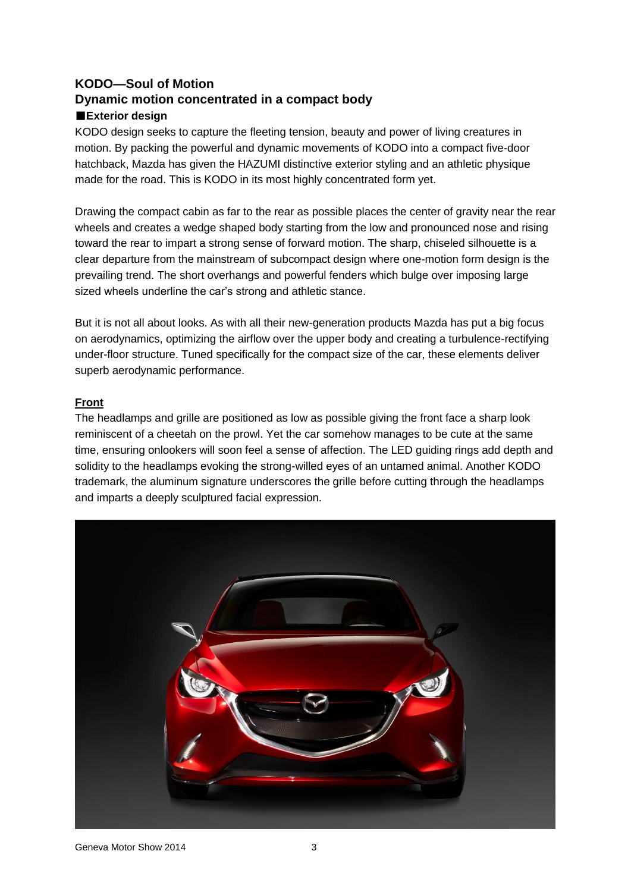### **KODO—Soul of Motion Dynamic motion concentrated in a compact body**  ■**Exterior design**

KODO design seeks to capture the fleeting tension, beauty and power of living creatures in motion. By packing the powerful and dynamic movements of KODO into a compact five-door hatchback, Mazda has given the HAZUMI distinctive exterior styling and an athletic physique made for the road. This is KODO in its most highly concentrated form yet.

Drawing the compact cabin as far to the rear as possible places the center of gravity near the rear wheels and creates a wedge shaped body starting from the low and pronounced nose and rising toward the rear to impart a strong sense of forward motion. The sharp, chiseled silhouette is a clear departure from the mainstream of subcompact design where one-motion form design is the prevailing trend. The short overhangs and powerful fenders which bulge over imposing large sized wheels underline the car's strong and athletic stance.

But it is not all about looks. As with all their new-generation products Mazda has put a big focus on aerodynamics, optimizing the airflow over the upper body and creating a turbulence-rectifying under-floor structure. Tuned specifically for the compact size of the car, these elements deliver superb aerodynamic performance.

#### **Front**

The headlamps and grille are positioned as low as possible giving the front face a sharp look reminiscent of a cheetah on the prowl. Yet the car somehow manages to be cute at the same time, ensuring onlookers will soon feel a sense of affection. The LED guiding rings add depth and solidity to the headlamps evoking the strong-willed eyes of an untamed animal. Another KODO trademark, the aluminum signature underscores the grille before cutting through the headlamps and imparts a deeply sculptured facial expression.

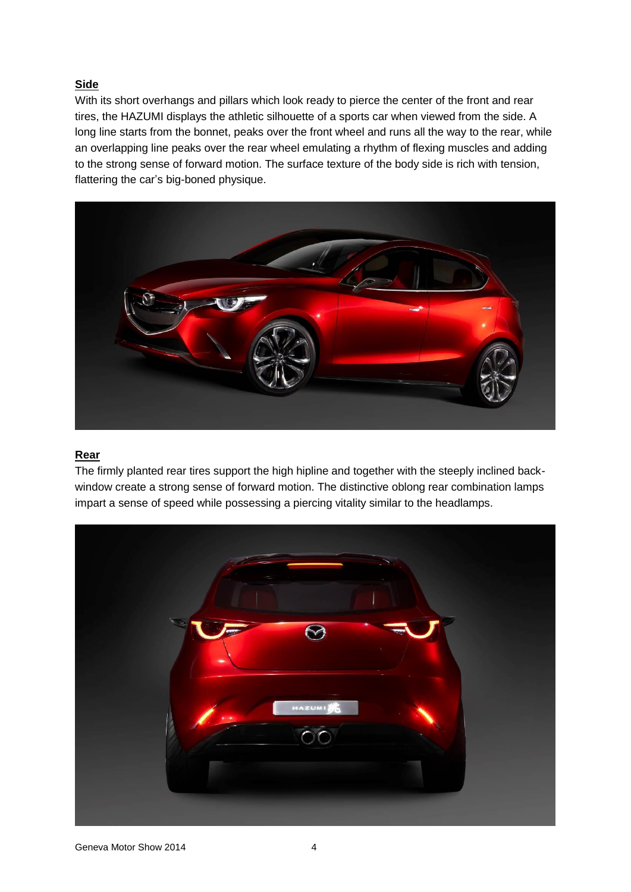#### **Side**

With its short overhangs and pillars which look ready to pierce the center of the front and rear tires, the HAZUMI displays the athletic silhouette of a sports car when viewed from the side. A long line starts from the bonnet, peaks over the front wheel and runs all the way to the rear, while an overlapping line peaks over the rear wheel emulating a rhythm of flexing muscles and adding to the strong sense of forward motion. The surface texture of the body side is rich with tension, flattering the car's big-boned physique.



#### **Rear**

The firmly planted rear tires support the high hipline and together with the steeply inclined backwindow create a strong sense of forward motion. The distinctive oblong rear combination lamps impart a sense of speed while possessing a piercing vitality similar to the headlamps.

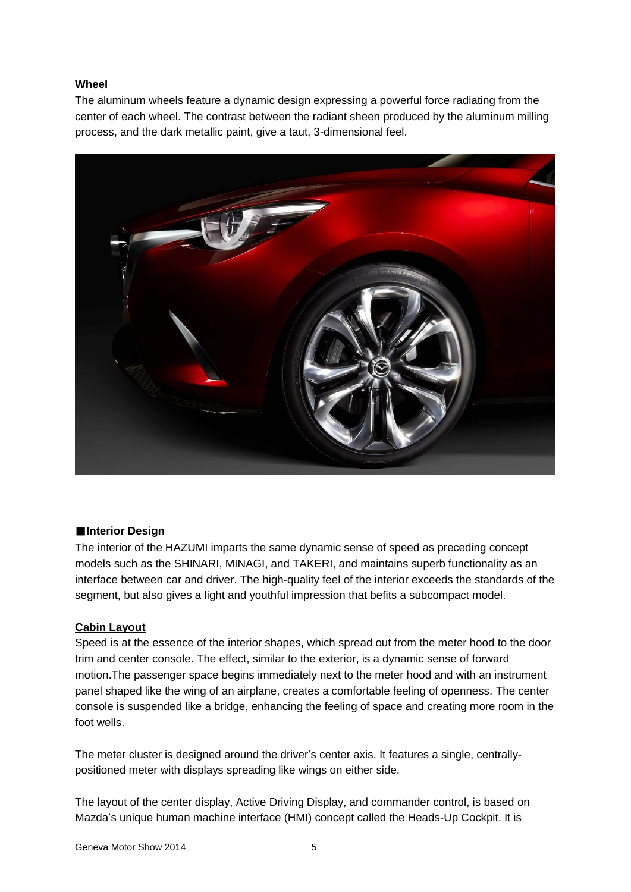#### **Wheel**

The aluminum wheels feature a dynamic design expressing a powerful force radiating from the center of each wheel. The contrast between the radiant sheen produced by the aluminum milling process, and the dark metallic paint, give a taut, 3-dimensional feel.



#### ■**Interior Design**

The interior of the HAZUMI imparts the same dynamic sense of speed as preceding concept models such as the SHINARI, MINAGI, and TAKERI, and maintains superb functionality as an interface between car and driver. The high-quality feel of the interior exceeds the standards of the segment, but also gives a light and youthful impression that befits a subcompact model.

#### **Cabin Layout**

Speed is at the essence of the interior shapes, which spread out from the meter hood to the door trim and center console. The effect, similar to the exterior, is a dynamic sense of forward motion.The passenger space begins immediately next to the meter hood and with an instrument panel shaped like the wing of an airplane, creates a comfortable feeling of openness. The center console is suspended like a bridge, enhancing the feeling of space and creating more room in the foot wells.

The meter cluster is designed around the driver's center axis. It features a single, centrallypositioned meter with displays spreading like wings on either side.

The layout of the center display, Active Driving Display, and commander control, is based on Mazda's unique human machine interface (HMI) concept called the Heads-Up Cockpit. It is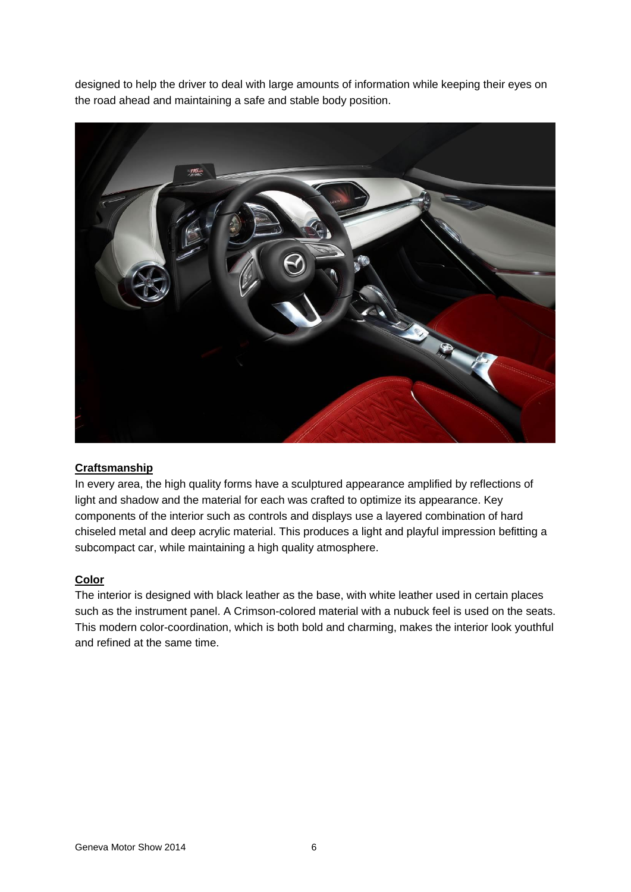designed to help the driver to deal with large amounts of information while keeping their eyes on the road ahead and maintaining a safe and stable body position.



#### **Craftsmanship**

In every area, the high quality forms have a sculptured appearance amplified by reflections of light and shadow and the material for each was crafted to optimize its appearance. Key components of the interior such as controls and displays use a layered combination of hard chiseled metal and deep acrylic material. This produces a light and playful impression befitting a subcompact car, while maintaining a high quality atmosphere.

#### **Color**

The interior is designed with black leather as the base, with white leather used in certain places such as the instrument panel. A Crimson-colored material with a nubuck feel is used on the seats. This modern color-coordination, which is both bold and charming, makes the interior look youthful and refined at the same time.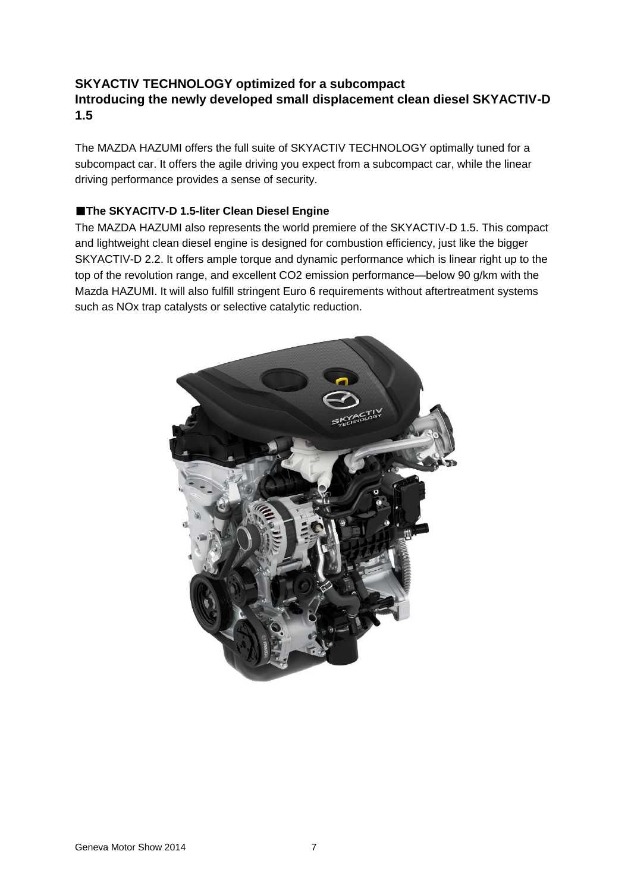### **SKYACTIV TECHNOLOGY optimized for a subcompact Introducing the newly developed small displacement clean diesel SKYACTIV-D 1.5**

The MAZDA HAZUMI offers the full suite of SKYACTIV TECHNOLOGY optimally tuned for a subcompact car. It offers the agile driving you expect from a subcompact car, while the linear driving performance provides a sense of security.

#### ■**The SKYACITV-D 1.5-liter Clean Diesel Engine**

The MAZDA HAZUMI also represents the world premiere of the SKYACTIV-D 1.5. This compact and lightweight clean diesel engine is designed for combustion efficiency, just like the bigger SKYACTIV-D 2.2. It offers ample torque and dynamic performance which is linear right up to the top of the revolution range, and excellent CO2 emission performance—below 90 g/km with the Mazda HAZUMI. It will also fulfill stringent Euro 6 requirements without aftertreatment systems such as NOx trap catalysts or selective catalytic reduction.